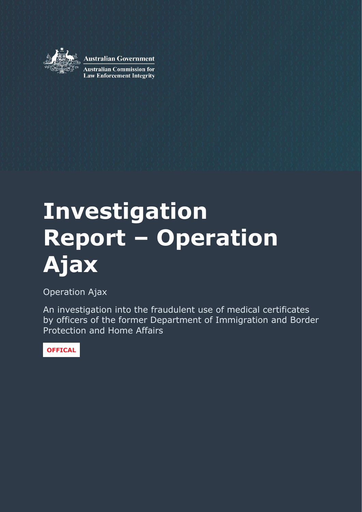

**Australian Government** 

**Australian Commission for Law Enforcement Integrity** 

# **Investigation Report – Operation Ajax**

Operation Ajax

An investigation into the fraudulent use of medical certificates by officers of the former Department of Immigration and Border Protection and Home Affairs

**OFFICAL**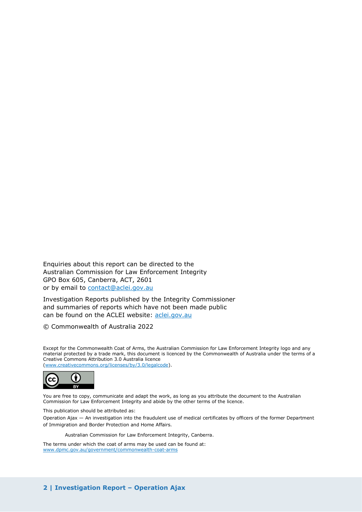Enquiries about this report can be directed to the Australian Commission for Law Enforcement Integrity GPO Box 605, Canberra, ACT, 2601 or by email to [contact@aclei.gov.au](mailto:contact@aclei.gov.au)

Investigation Reports published by the Integrity Commissioner and summaries of reports which have not been made public can be found on the ACLEI website: [aclei.gov.au](http://www.aclei.gov.au/)

© Commonwealth of Australia 2022

Except for the Commonwealth Coat of Arms, the Australian Commission for Law Enforcement Integrity logo and any material protected by a trade mark, this document is licenced by the Commonwealth of Australia under the terms of a Creative Commons Attribution 3.0 Australia licence [\(www.creativecommons.org/licenses/by/3.0/legalcode\)](http://www.creativecommons.org/licenses/by/3.0/legalcode).



You are free to copy, communicate and adapt the work, as long as you attribute the document to the Australian Commission for Law Enforcement Integrity and abide by the other terms of the licence.

This publication should be attributed as:

Operation Ajax — An investigation into the fraudulent use of medical certificates by officers of the former Department of Immigration and Border Protection and Home Affairs.

Australian Commission for Law Enforcement Integrity, Canberra.

The terms under which the coat of arms may be used can be found at: [www.dpmc.gov.au/government/commonwealth-coat-arms](http://www.dpmc.gov.au/government/commonwealth-coat-arms)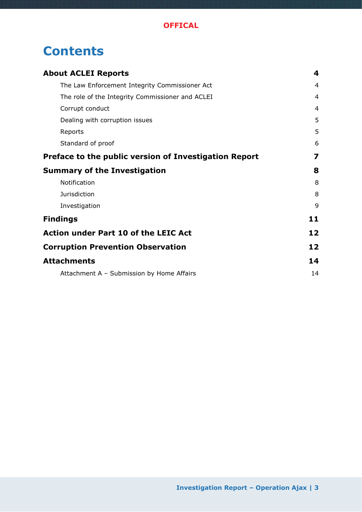# **Contents**

| <b>About ACLEI Reports</b>                            |                         |
|-------------------------------------------------------|-------------------------|
| The Law Enforcement Integrity Commissioner Act        | $\overline{4}$          |
| The role of the Integrity Commissioner and ACLEI      | 4                       |
| Corrupt conduct                                       | 4                       |
| Dealing with corruption issues                        | 5                       |
| Reports                                               | 5                       |
| Standard of proof                                     | 6                       |
| Preface to the public version of Investigation Report | $\overline{\mathbf{z}}$ |
| <b>Summary of the Investigation</b>                   | 8                       |
| Notification                                          | 8                       |
| <b>Jurisdiction</b>                                   | 8                       |
| Investigation                                         | 9                       |
| <b>Findings</b>                                       | 11                      |
| <b>Action under Part 10 of the LEIC Act</b>           | 12                      |
| <b>Corruption Prevention Observation</b>              | 12                      |
| <b>Attachments</b>                                    | 14                      |
| Attachment A - Submission by Home Affairs             | 14                      |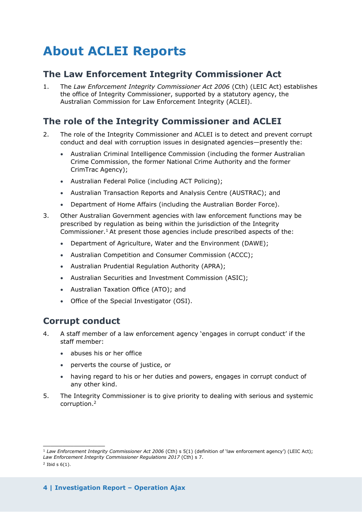# <span id="page-3-0"></span>**About ACLEI Reports**

### <span id="page-3-1"></span>**The Law Enforcement Integrity Commissioner Act**

1. The *Law Enforcement Integrity Commissioner Act 2006* (Cth) (LEIC Act) establishes the office of Integrity Commissioner, supported by a statutory agency, the Australian Commission for Law Enforcement Integrity (ACLEI).

### <span id="page-3-2"></span>**The role of the Integrity Commissioner and ACLEI**

- 2. The role of the Integrity Commissioner and ACLEI is to detect and prevent corrupt conduct and deal with corruption issues in designated agencies—presently the:
	- Australian Criminal Intelligence Commission (including the former Australian Crime Commission, the former National Crime Authority and the former CrimTrac Agency);
	- Australian Federal Police (including ACT Policing);
	- Australian Transaction Reports and Analysis Centre (AUSTRAC); and
	- Department of Home Affairs (including the Australian Border Force).
- 3. Other Australian Government agencies with law enforcement functions may be prescribed by regulation as being within the jurisdiction of the Integrity Commissioner.<sup>1</sup> At present those agencies include prescribed aspects of the:
	- Department of Agriculture, Water and the Environment (DAWE);
	- Australian Competition and Consumer Commission (ACCC);
	- Australian Prudential Regulation Authority (APRA);
	- Australian Securities and Investment Commission (ASIC);
	- Australian Taxation Office (ATO); and
	- Office of the Special Investigator (OSI).

### <span id="page-3-3"></span>**Corrupt conduct**

- 4. A staff member of a law enforcement agency 'engages in corrupt conduct' if the staff member:
	- abuses his or her office
	- perverts the course of justice, or
	- having regard to his or her duties and powers, engages in corrupt conduct of any other kind.
- 5. The Integrity Commissioner is to give priority to dealing with serious and systemic corruption.<sup>2</sup>

 $\_$ 

<sup>&</sup>lt;sup>1</sup> Law Enforcement Integrity Commissioner Act 2006 (Cth) s 5(1) (definition of 'law enforcement agency') (LEIC Act); *Law Enforcement Integrity Commissioner Regulations 2017* (Cth) s 7.

 $2$  Ibid s  $6(1)$ .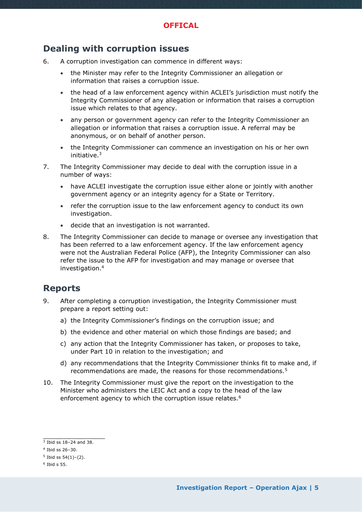### <span id="page-4-0"></span>**Dealing with corruption issues**

- 6. A corruption investigation can commence in different ways:
	- the Minister may refer to the Integrity Commissioner an allegation or information that raises a corruption issue.
	- the head of a law enforcement agency within ACLEI's jurisdiction must notify the Integrity Commissioner of any allegation or information that raises a corruption issue which relates to that agency.
	- any person or government agency can refer to the Integrity Commissioner an allegation or information that raises a corruption issue. A referral may be anonymous, or on behalf of another person.
	- the Integrity Commissioner can commence an investigation on his or her own initiative.<sup>3</sup>
- 7. The Integrity Commissioner may decide to deal with the corruption issue in a number of ways:
	- have ACLEI investigate the corruption issue either alone or jointly with another government agency or an integrity agency for a State or Territory.
	- refer the corruption issue to the law enforcement agency to conduct its own investigation.
	- decide that an investigation is not warranted.
- 8. The Integrity Commissioner can decide to manage or oversee any investigation that has been referred to a law enforcement agency. If the law enforcement agency were not the Australian Federal Police (AFP), the Integrity Commissioner can also refer the issue to the AFP for investigation and may manage or oversee that investigation.<sup>4</sup>

### <span id="page-4-1"></span>**Reports**

- 9. After completing a corruption investigation, the Integrity Commissioner must prepare a report setting out:
	- a) the Integrity Commissioner's findings on the corruption issue; and
	- b) the evidence and other material on which those findings are based; and
	- c) any action that the Integrity Commissioner has taken, or proposes to take, under Part 10 in relation to the investigation; and
	- d) any recommendations that the Integrity Commissioner thinks fit to make and, if recommendations are made, the reasons for those recommendations.<sup>5</sup>
- 10. The Integrity Commissioner must give the report on the investigation to the Minister who administers the LEIC Act and a copy to the head of the law enforcement agency to which the corruption issue relates.<sup>6</sup>

 $\_$ 

 $3$  Ibid ss 18-24 and 38.

<sup>4</sup> Ibid ss 26–30.

 $5$  Ibid ss  $54(1)-(2)$ .

 $<sup>6</sup>$  Ibid s 55.</sup>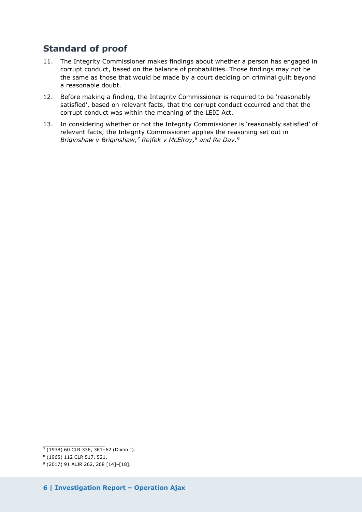## <span id="page-5-0"></span>**Standard of proof**

- 11. The Integrity Commissioner makes findings about whether a person has engaged in corrupt conduct, based on the balance of probabilities. Those findings may not be the same as those that would be made by a court deciding on criminal guilt beyond a reasonable doubt.
- 12. Before making a finding, the Integrity Commissioner is required to be 'reasonably satisfied', based on relevant facts, that the corrupt conduct occurred and that the corrupt conduct was within the meaning of the LEIC Act.
- 13. In considering whether or not the Integrity Commissioner is 'reasonably satisfied' of relevant facts, the Integrity Commissioner applies the reasoning set out in *Briginshaw v Briginshaw,<sup>7</sup> Rejfek v McElroy,<sup>8</sup> and Re Day.<sup>9</sup>*

 $\_$ <sup>7</sup> (1938) 60 CLR 336, 361–62 (Dixon J).

<sup>8</sup> (1965) 112 CLR 517, 521.

<sup>9</sup> (2017) 91 ALJR 262, 268 [14]–[18].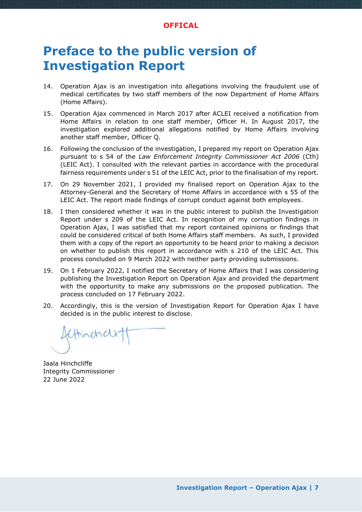#### **OFFICAL**

# <span id="page-6-0"></span>**Preface to the public version of Investigation Report**

- 14. Operation Ajax is an investigation into allegations involving the fraudulent use of medical certificates by two staff members of the now Department of Home Affairs (Home Affairs).
- 15. Operation Ajax commenced in March 2017 after ACLEI received a notification from Home Affairs in relation to one staff member, Officer H. In August 2017, the investigation explored additional allegations notified by Home Affairs involving another staff member, Officer Q.
- 16. Following the conclusion of the investigation, I prepared my report on Operation Ajax pursuant to s 54 of the *Law Enforcement Integrity Commissioner Act 2006* (Cth) (LEIC Act). I consulted with the relevant parties in accordance with the procedural fairness requirements under s 51 of the LEIC Act, prior to the finalisation of my report.
- 17. On 29 November 2021, I provided my finalised report on Operation Ajax to the Attorney-General and the Secretary of Home Affairs in accordance with s 55 of the LEIC Act. The report made findings of corrupt conduct against both employees.
- 18. I then considered whether it was in the public interest to publish the Investigation Report under s 209 of the LEIC Act. In recognition of my corruption findings in Operation Ajax, I was satisfied that my report contained opinions or findings that could be considered critical of both Home Affairs staff members. As such, I provided them with a copy of the report an opportunity to be heard prior to making a decision on whether to publish this report in accordance with s 210 of the LEIC Act. This process concluded on 9 March 2022 with neither party providing submissions.
- 19. On 1 February 2022, I notified the Secretary of Home Affairs that I was considering publishing the Investigation Report on Operation Ajax and provided the department with the opportunity to make any submissions on the proposed publication. The process concluded on 17 February 2022.
- 20. Accordingly, this is the version of Investigation Report for Operation Ajax I have decided is in the public interest to disclose.

thinchcle

Jaala Hinchcliffe Integrity Commissioner 22 June 2022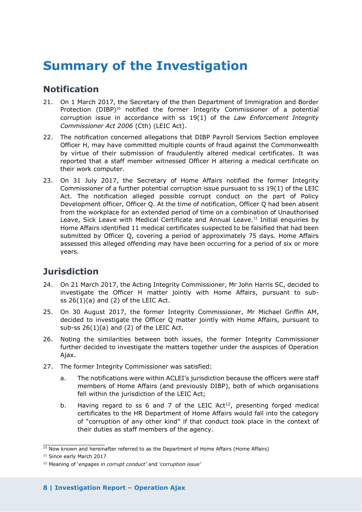# <span id="page-7-0"></span>**Summary of the Investigation**

### <span id="page-7-1"></span>**Notification**

- 21. On 1 March 2017, the Secretary of the then Department of Immigration and Border Protection (DIBP)<sup>10</sup> notified the former Integrity Commissioner of a potential corruption issue in accordance with ss 19(1) of the *Law Enforcement Integrity Commissioner Act 2006* (Cth) (LEIC Act).
- 22. The notification concerned allegations that DIBP Payroll Services Section employee Officer H, may have committed multiple counts of fraud against the Commonwealth by virtue of their submission of fraudulently altered medical certificates. It was reported that a staff member witnessed Officer H altering a medical certificate on their work computer.
- 23. On 31 July 2017, the Secretary of Home Affairs notified the former Integrity Commissioner of a further potential corruption issue pursuant to ss 19(1) of the LEIC Act. The notification alleged possible corrupt conduct on the part of Policy Development officer, Officer Q. At the time of notification, Officer Q had been absent from the workplace for an extended period of time on a combination of Unauthorised Leave, Sick Leave with Medical Certificate and Annual Leave.<sup>11</sup> Initial enquiries by Home Affairs identified 11 medical certificates suspected to be falsified that had been submitted by Officer Q, covering a period of approximately 75 days. Home Affairs assessed this alleged offending may have been occurring for a period of six or more years.

# <span id="page-7-2"></span>**Jurisdiction**

- 24. On 21 March 2017, the Acting Integrity Commissioner, Mr John Harris SC, decided to investigate the Officer H matter jointly with Home Affairs, pursuant to subss  $26(1)(a)$  and  $(2)$  of the LEIC Act.
- 25. On 30 August 2017, the former Integrity Commissioner, Mr Michael Griffin AM, decided to investigate the Officer Q matter jointly with Home Affairs, pursuant to sub-ss  $26(1)(a)$  and  $(2)$  of the LEIC Act.
- 26. Noting the similarities between both issues, the former Integrity Commissioner further decided to investigate the matters together under the auspices of Operation Ajax.
- 27. The former Integrity Commissioner was satisfied:
	- a. The notifications were within ACLEI's jurisdiction because the officers were staff members of Home Affairs (and previously DIBP), both of which organisations fell within the jurisdiction of the LEIC Act;
	- b. Having regard to ss 6 and 7 of the LEIC Act<sup>12</sup>, presenting forged medical certificates to the HR Department of Home Affairs would fall into the category of "corruption of any other kind" if that conduct took place in the context of their duties as staff members of the agency.

 $\_$  $10$  Now known and hereinafter referred to as the Department of Home Affairs (Home Affairs)

<sup>11</sup> Since early March 2017

<sup>12</sup> Meaning of '*engages in corrupt conduct'* and *'corruption issue'*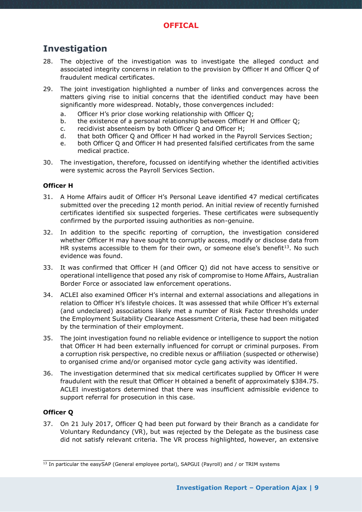### <span id="page-8-0"></span>**Investigation**

- 28. The objective of the investigation was to investigate the alleged conduct and associated integrity concerns in relation to the provision by Officer H and Officer Q of fraudulent medical certificates.
- 29. The joint investigation highlighted a number of links and convergences across the matters giving rise to initial concerns that the identified conduct may have been significantly more widespread. Notably, those convergences included:
	- a. Officer H's prior close working relationship with Officer Q;
	- b. the existence of a personal relationship between Officer H and Officer Q;
	- c. recidivist absenteeism by both Officer Q and Officer H;
	- d. that both Officer Q and Officer H had worked in the Payroll Services Section;
	- e. both Officer Q and Officer H had presented falsified certificates from the same medical practice.
- 30. The investigation, therefore, focussed on identifying whether the identified activities were systemic across the Payroll Services Section.

#### **Officer H**

- 31. A Home Affairs audit of Officer H's Personal Leave identified 47 medical certificates submitted over the preceding 12 month period. An initial review of recently furnished certificates identified six suspected forgeries. These certificates were subsequently confirmed by the purported issuing authorities as non-genuine.
- 32. In addition to the specific reporting of corruption, the investigation considered whether Officer H may have sought to corruptly access, modify or disclose data from HR systems accessible to them for their own, or someone else's benefit<sup>13</sup>. No such evidence was found.
- 33. It was confirmed that Officer H (and Officer Q) did not have access to sensitive or operational intelligence that posed any risk of compromise to Home Affairs, Australian Border Force or associated law enforcement operations.
- 34. ACLEI also examined Officer H's internal and external associations and allegations in relation to Officer H's lifestyle choices. It was assessed that while Officer H's external (and undeclared) associations likely met a number of Risk Factor thresholds under the Employment Suitability Clearance Assessment Criteria, these had been mitigated by the termination of their employment.
- 35. The joint investigation found no reliable evidence or intelligence to support the notion that Officer H had been externally influenced for corrupt or criminal purposes. From a corruption risk perspective, no credible nexus or affiliation (suspected or otherwise) to organised crime and/or organised motor cycle gang activity was identified.
- 36. The investigation determined that six medical certificates supplied by Officer H were fraudulent with the result that Officer H obtained a benefit of approximately \$384.75. ACLEI investigators determined that there was insufficient admissible evidence to support referral for prosecution in this case.

#### **Officer Q**

\_\_\_\_\_\_\_\_\_\_\_\_\_\_\_\_

37. On 21 July 2017, Officer Q had been put forward by their Branch as a candidate for Voluntary Redundancy (VR), but was rejected by the Delegate as the business case did not satisfy relevant criteria. The VR process highlighted, however, an extensive

 $\frac{13}{13}$  In particular the easySAP (General employee portal), SAPGUI (Payroll) and / or TRIM systems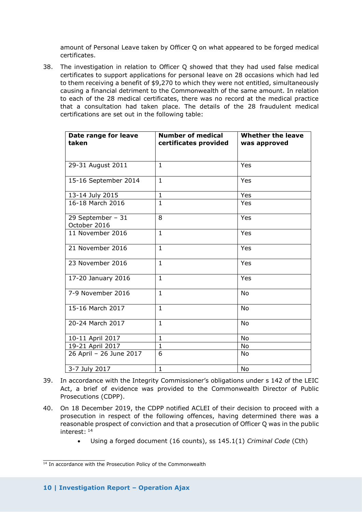amount of Personal Leave taken by Officer Q on what appeared to be forged medical certificates.

38. The investigation in relation to Officer Q showed that they had used false medical certificates to support applications for personal leave on 28 occasions which had led to them receiving a benefit of \$9,270 to which they were not entitled, simultaneously causing a financial detriment to the Commonwealth of the same amount. In relation to each of the 28 medical certificates, there was no record at the medical practice that a consultation had taken place. The details of the 28 fraudulent medical certifications are set out in the following table:

| Date range for leave<br>taken     | <b>Number of medical</b><br>certificates provided | <b>Whether the leave</b><br>was approved |
|-----------------------------------|---------------------------------------------------|------------------------------------------|
|                                   |                                                   |                                          |
| 29-31 August 2011                 | $\mathbf{1}$                                      | Yes                                      |
| 15-16 September 2014              | 1                                                 | Yes                                      |
| 13-14 July 2015                   | $\mathbf{1}$                                      | Yes                                      |
| 16-18 March 2016                  | 1                                                 | Yes                                      |
| 29 September - 31<br>October 2016 | 8                                                 | Yes                                      |
| 11 November 2016                  | $\mathbf{1}$                                      | Yes                                      |
| 21 November 2016                  | $\mathbf{1}$                                      | Yes                                      |
| 23 November 2016                  | $\mathbf{1}$                                      | Yes                                      |
| 17-20 January 2016                | $\mathbf{1}$                                      | Yes                                      |
| 7-9 November 2016                 | $\mathbf{1}$                                      | <b>No</b>                                |
| 15-16 March 2017                  | $\mathbf{1}$                                      | No                                       |
| 20-24 March 2017                  | $\mathbf{1}$                                      | No                                       |
| 10-11 April 2017                  | $\mathbf{1}$                                      | <b>No</b>                                |
| 19-21 April 2017                  | $\mathbf{1}$                                      | No                                       |
| 26 April - 26 June 2017           | 6                                                 | No                                       |
| 3-7 July 2017                     | $\mathbf{1}$                                      | No                                       |

- 39. In accordance with the Integrity Commissioner's obligations under s 142 of the LEIC Act, a brief of evidence was provided to the Commonwealth Director of Public Prosecutions (CDPP).
- 40. On 18 December 2019, the CDPP notified ACLEI of their decision to proceed with a prosecution in respect of the following offences, having determined there was a reasonable prospect of conviction and that a prosecution of Officer Q was in the public interest: <sup>14</sup>
	- Using a forged document (16 counts), ss 145.1(1) *Criminal Code* (Cth)

\_\_\_\_\_\_\_\_\_\_\_\_\_\_\_\_

 $\frac{14}{14}$  In accordance with the Prosecution Policy of the Commonwealth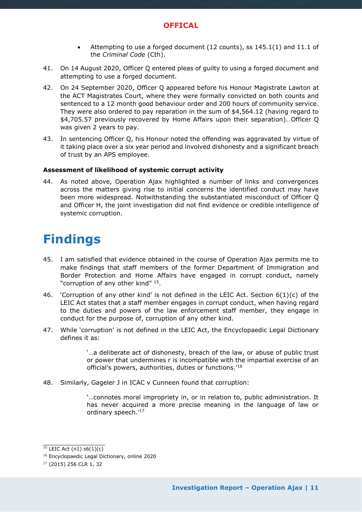

- Attempting to use a forged document (12 counts), ss 145.1(1) and 11.1 of the *Criminal Code* (Cth).
- 41. On 14 August 2020, Officer Q entered pleas of guilty to using a forged document and attempting to use a forged document.
- 42. On 24 September 2020, Officer Q appeared before his Honour Magistrate Lawton at the ACT Magistrates Court, where they were formally convicted on both counts and sentenced to a 12 month good behaviour order and 200 hours of community service. They were also ordered to pay reparation in the sum of \$4,564.12 (having regard to \$4,705.57 previously recovered by Home Affairs upon their separation). Officer Q was given 2 years to pay.
- 43. In sentencing Officer Q, his Honour noted the offending was aggravated by virtue of it taking place over a six year period and involved dishonesty and a significant breach of trust by an APS employee.

#### **Assessment of likelihood of systemic corrupt activity**

44. As noted above, Operation Ajax highlighted a number of links and convergences across the matters giving rise to initial concerns the identified conduct may have been more widespread. Notwithstanding the substantiated misconduct of Officer Q and Officer H, the joint investigation did not find evidence or credible intelligence of systemic corruption.

# <span id="page-10-0"></span>**Findings**

- 45. I am satisfied that evidence obtained in the course of Operation Ajax permits me to make findings that staff members of the former Department of Immigration and Border Protection and Home Affairs have engaged in corrupt conduct, namely "corruption of any other kind" 15.
- 46. 'Corruption of any other kind' is not defined in the LEIC Act. Section  $6(1)(c)$  of the LEIC Act states that a staff member engages in corrupt conduct, when having regard to the duties and powers of the law enforcement staff member, they engage in conduct for the purpose of, corruption of any other kind.
- 47. While 'corruption' is not defined in the LEIC Act, the Encyclopaedic Legal Dictionary defines it as:

'…a deliberate act of dishonesty, breach of the law, or abuse of public trust or power that undermines r is incompatible with the impartial exercise of an official's powers, authorities, duties or functions.'<sup>16</sup>

48. Similarly, Gageler J in ICAC v Cunneen found that corruption:

'…connotes moral impropriety in, or in relation to, public administration. It has never acquired a more precise meaning in the language of law or ordinary speech.'<sup>17</sup>

\_\_\_\_\_\_\_\_\_\_\_\_\_\_\_\_  $15$  LEIC Act (n1) s6(1)(c)

<sup>16</sup> Encyclopaedic Legal Dictionary, online 2020

<sup>17</sup> (2015) 256 CLR 1, 32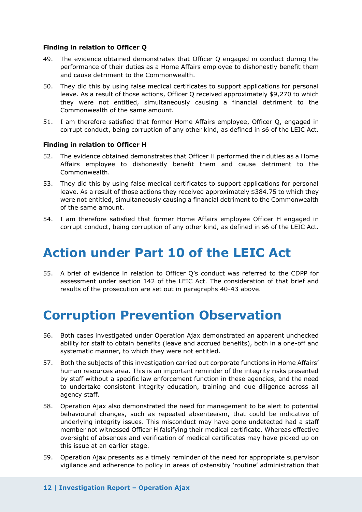#### **Finding in relation to Officer Q**

- 49. The evidence obtained demonstrates that Officer Q engaged in conduct during the performance of their duties as a Home Affairs employee to dishonestly benefit them and cause detriment to the Commonwealth.
- 50. They did this by using false medical certificates to support applications for personal leave. As a result of those actions, Officer Q received approximately \$9,270 to which they were not entitled, simultaneously causing a financial detriment to the Commonwealth of the same amount.
- 51. I am therefore satisfied that former Home Affairs employee, Officer Q, engaged in corrupt conduct, being corruption of any other kind, as defined in s6 of the LEIC Act.

#### **Finding in relation to Officer H**

- 52. The evidence obtained demonstrates that Officer H performed their duties as a Home Affairs employee to dishonestly benefit them and cause detriment to the Commonwealth.
- 53. They did this by using false medical certificates to support applications for personal leave. As a result of those actions they received approximately \$384.75 to which they were not entitled, simultaneously causing a financial detriment to the Commonwealth of the same amount.
- 54. I am therefore satisfied that former Home Affairs employee Officer H engaged in corrupt conduct, being corruption of any other kind, as defined in s6 of the LEIC Act.

# <span id="page-11-0"></span>**Action under Part 10 of the LEIC Act**

55. A brief of evidence in relation to Officer Q's conduct was referred to the CDPP for assessment under section 142 of the LEIC Act. The consideration of that brief and results of the prosecution are set out in paragraphs 40-43 above.

# <span id="page-11-1"></span>**Corruption Prevention Observation**

- 56. Both cases investigated under Operation Ajax demonstrated an apparent unchecked ability for staff to obtain benefits (leave and accrued benefits), both in a one-off and systematic manner, to which they were not entitled.
- 57. Both the subjects of this investigation carried out corporate functions in Home Affairs' human resources area. This is an important reminder of the integrity risks presented by staff without a specific law enforcement function in these agencies, and the need to undertake consistent integrity education, training and due diligence across all agency staff.
- 58. Operation Ajax also demonstrated the need for management to be alert to potential behavioural changes, such as repeated absenteeism, that could be indicative of underlying integrity issues. This misconduct may have gone undetected had a staff member not witnessed Officer H falsifying their medical certificate. Whereas effective oversight of absences and verification of medical certificates may have picked up on this issue at an earlier stage.
- 59. Operation Ajax presents as a timely reminder of the need for appropriate supervisor vigilance and adherence to policy in areas of ostensibly 'routine' administration that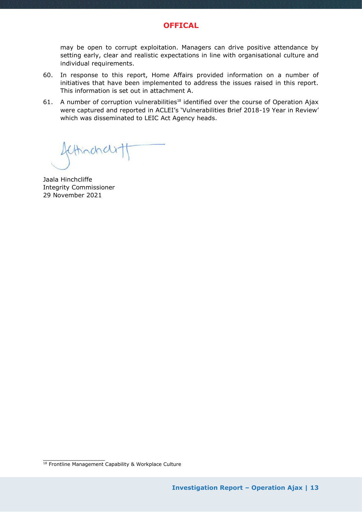

may be open to corrupt exploitation. Managers can drive positive attendance by setting early, clear and realistic expectations in line with organisational culture and individual requirements.

- 60. In response to this report, Home Affairs provided information on a number of initiatives that have been implemented to address the issues raised in this report. This information is set out in attachment A.
- 61. A number of corruption vulnerabilities<sup>18</sup> identified over the course of Operation Ajax were captured and reported in ACLEI's 'Vulnerabilities Brief 2018-19 Year in Review' which was disseminated to LEIC Act Agency heads.

thinchcle

Jaala Hinchcliffe Integrity Commissioner 29 November 2021

\_\_\_\_\_\_\_\_\_\_\_\_\_\_\_\_

<sup>&</sup>lt;sup>18</sup> Frontline Management Capability & Workplace Culture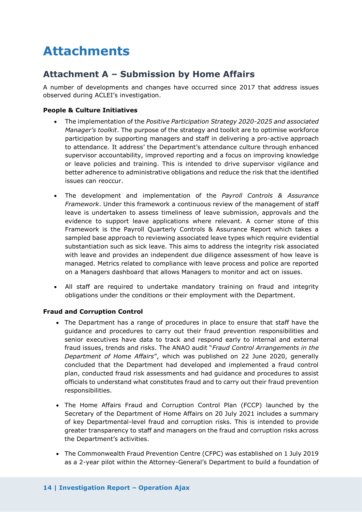# <span id="page-13-0"></span>**Attachments**

### <span id="page-13-1"></span>**Attachment A – Submission by Home Affairs**

A number of developments and changes have occurred since 2017 that address issues observed during ACLEI's investigation.

#### **People & Culture Initiatives**

- The implementation of the *Positive Participation Strategy 2020-2025 and associated Manager's toolkit*. The purpose of the strategy and toolkit are to optimise workforce participation by supporting managers and staff in delivering a pro-active approach to attendance. It address' the Department's attendance culture through enhanced supervisor accountability, improved reporting and a focus on improving knowledge or leave policies and training. This is intended to drive supervisor vigilance and better adherence to administrative obligations and reduce the risk that the identified issues can reoccur.
- The development and implementation of the *Payroll Controls & Assurance Framework*. Under this framework a continuous review of the management of staff leave is undertaken to assess timeliness of leave submission, approvals and the evidence to support leave applications where relevant. A corner stone of this Framework is the Payroll Quarterly Controls & Assurance Report which takes a sampled base approach to reviewing associated leave types which require evidential substantiation such as sick leave. This aims to address the integrity risk associated with leave and provides an independent due diligence assessment of how leave is managed. Metrics related to compliance with leave process and police are reported on a Managers dashboard that allows Managers to monitor and act on issues.
- All staff are required to undertake mandatory training on fraud and integrity obligations under the conditions or their employment with the Department.

#### **Fraud and Corruption Control**

- The Department has a range of procedures in place to ensure that staff have the guidance and procedures to carry out their fraud prevention responsibilities and senior executives have data to track and respond early to internal and external fraud issues, trends and risks. The ANAO audit "*Fraud Control Arrangements in the Department of Home Affairs*", which was published on 22 June 2020, generally concluded that the Department had developed and implemented a fraud control plan, conducted fraud risk assessments and had guidance and procedures to assist officials to understand what constitutes fraud and to carry out their fraud prevention responsibilities.
- The Home Affairs Fraud and Corruption Control Plan (FCCP) launched by the Secretary of the Department of Home Affairs on 20 July 2021 includes a summary of key Departmental-level fraud and corruption risks. This is intended to provide greater transparency to staff and managers on the fraud and corruption risks across the Department's activities.
- The Commonwealth Fraud Prevention Centre (CFPC) was established on 1 July 2019 as a 2-year pilot within the Attorney-General's Department to build a foundation of